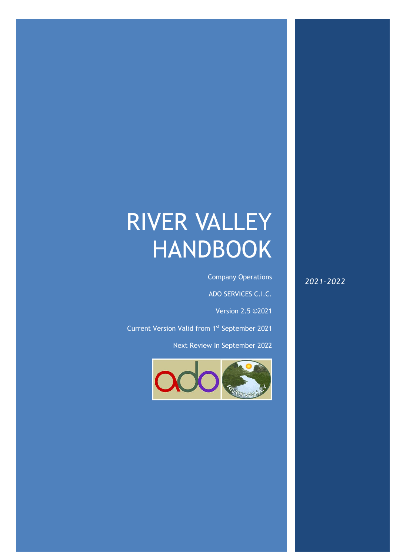# RIVER VALLEY HANDBOOK

 $A\subset\mathbb{R}$  ,  $A\subset\mathbb{R}$  and  $A\subset\mathbb{R}$  and  $A\subset\mathbb{R}$  and  $A\subset\mathbb{R}$  and  $A\subset\mathbb{R}$  and  $A\subset\mathbb{R}$ 

Company Operations

ADO SERVICES C.I.C.

Version 2.5 ©2021

Current Version Valid from 1st September 2021

Next Review In September 2022



*2021-2022*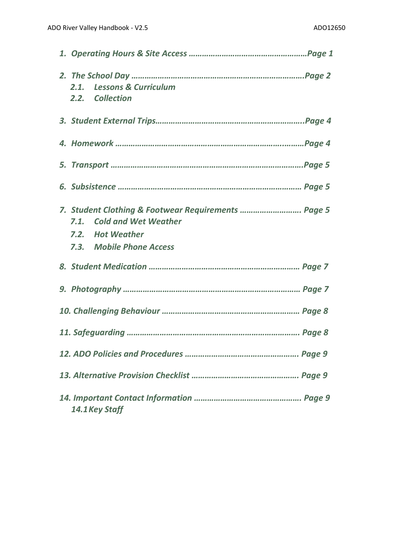|                |  | 2.1. Lessons & Curriculum<br>2.2. Collection                                     |
|----------------|--|----------------------------------------------------------------------------------|
|                |  |                                                                                  |
|                |  |                                                                                  |
|                |  |                                                                                  |
|                |  |                                                                                  |
|                |  | 7. Student Clothing & Footwear Requirements  Page 5<br>7.1. Cold and Wet Weather |
|                |  | 7.2. Hot Weather                                                                 |
|                |  | 7.3. Mobile Phone Access                                                         |
|                |  |                                                                                  |
|                |  |                                                                                  |
|                |  |                                                                                  |
|                |  |                                                                                  |
|                |  |                                                                                  |
|                |  |                                                                                  |
| 14.1 Key Staff |  |                                                                                  |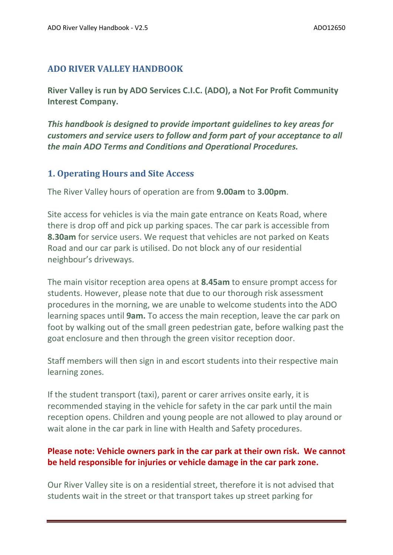## **ADO RIVER VALLEY HANDBOOK**

**River Valley is run by ADO Services C.I.C. (ADO), a Not For Profit Community Interest Company.**

*This handbook is designed to provide important guidelines to key areas for customers and service users to follow and form part of your acceptance to all the main ADO Terms and Conditions and Operational Procedures.* 

#### **1. Operating Hours and Site Access**

The River Valley hours of operation are from **9.00am** to **3.00pm**.

Site access for vehicles is via the main gate entrance on Keats Road, where there is drop off and pick up parking spaces. The car park is accessible from **8.30am** for service users. We request that vehicles are not parked on Keats Road and our car park is utilised. Do not block any of our residential neighbour's driveways.

The main visitor reception area opens at **8.45am** to ensure prompt access for students. However, please note that due to our thorough risk assessment procedures in the morning, we are unable to welcome students into the ADO learning spaces until **9am.** To access the main reception, leave the car park on foot by walking out of the small green pedestrian gate, before walking past the goat enclosure and then through the green visitor reception door.

Staff members will then sign in and escort students into their respective main learning zones.

If the student transport (taxi), parent or carer arrives onsite early, it is recommended staying in the vehicle for safety in the car park until the main reception opens. Children and young people are not allowed to play around or wait alone in the car park in line with Health and Safety procedures.

## **Please note: Vehicle owners park in the car park at their own risk. We cannot be held responsible for injuries or vehicle damage in the car park zone.**

Our River Valley site is on a residential street, therefore it is not advised that students wait in the street or that transport takes up street parking for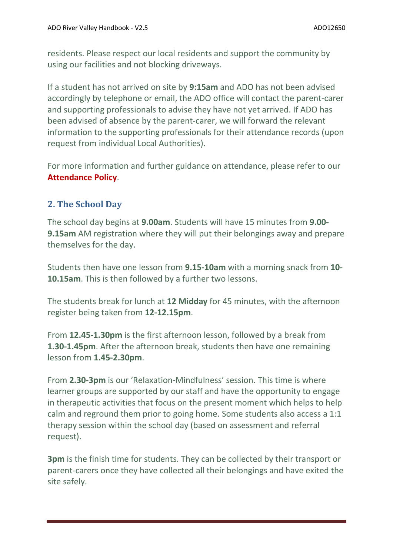residents. Please respect our local residents and support the community by using our facilities and not blocking driveways.

If a student has not arrived on site by **9:15am** and ADO has not been advised accordingly by telephone or email, the ADO office will contact the parent-carer and supporting professionals to advise they have not yet arrived. If ADO has been advised of absence by the parent-carer, we will forward the relevant information to the supporting professionals for their attendance records (upon request from individual Local Authorities).

For more information and further guidance on attendance, please refer to our **Attendance Policy**.

## **2. The School Day**

The school day begins at **9.00am**. Students will have 15 minutes from **9.00- 9.15am** AM registration where they will put their belongings away and prepare themselves for the day.

Students then have one lesson from **9.15-10am** with a morning snack from **10- 10.15am**. This is then followed by a further two lessons.

The students break for lunch at **12 Midday** for 45 minutes, with the afternoon register being taken from **12-12.15pm**.

From **12.45-1.30pm** is the first afternoon lesson, followed by a break from **1.30-1.45pm**. After the afternoon break, students then have one remaining lesson from **1.45-2.30pm**.

From **2.30-3pm** is our 'Relaxation-Mindfulness' session. This time is where learner groups are supported by our staff and have the opportunity to engage in therapeutic activities that focus on the present moment which helps to help calm and reground them prior to going home. Some students also access a 1:1 therapy session within the school day (based on assessment and referral request).

**3pm** is the finish time for students. They can be collected by their transport or parent-carers once they have collected all their belongings and have exited the site safely.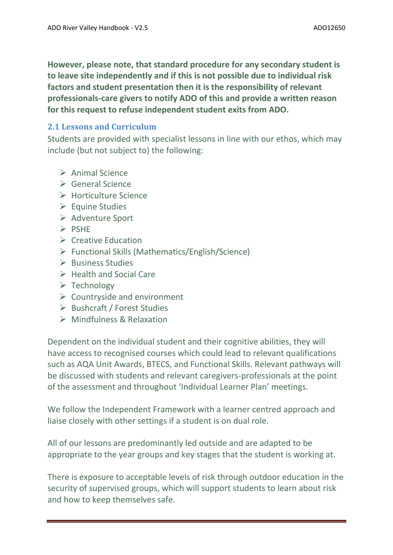**However, please note, that standard procedure for any secondary student is to leave site independently and if this is not possible due to individual risk factors and student presentation then it is the responsibility of relevant professionals-care givers to notify ADO of this and provide a written reason for this request to refuse independent student exits from ADO.** 

## **2.1 Lessons and Curriculum**

Students are provided with specialist lessons in line with our ethos, which may include (but not subject to) the following:

- ➢ Animal Science
- ➢ General Science
- ➢ Horticulture Science
- ➢ Equine Studies
- ➢ Adventure Sport
- ➢ PSHE
- ➢ Creative Education
- ➢ Functional Skills (Mathematics/English/Science)
- ➢ Business Studies
- ➢ Health and Social Care
- ➢ Technology
- $\triangleright$  Countryside and environment
- ➢ Bushcraft / Forest Studies
- ➢ Mindfulness & Relaxation

Dependent on the individual student and their cognitive abilities, they will have access to recognised courses which could lead to relevant qualifications such as AQA Unit Awards, BTECS, and Functional Skills. Relevant pathways will be discussed with students and relevant caregivers-professionals at the point of the assessment and throughout 'Individual Learner Plan' meetings.

We follow the Independent Framework with a learner centred approach and liaise closely with other settings if a student is on dual role.

All of our lessons are predominantly led outside and are adapted to be appropriate to the year groups and key stages that the student is working at.

There is exposure to acceptable levels of risk through outdoor education in the security of supervised groups, which will support students to learn about risk and how to keep themselves safe.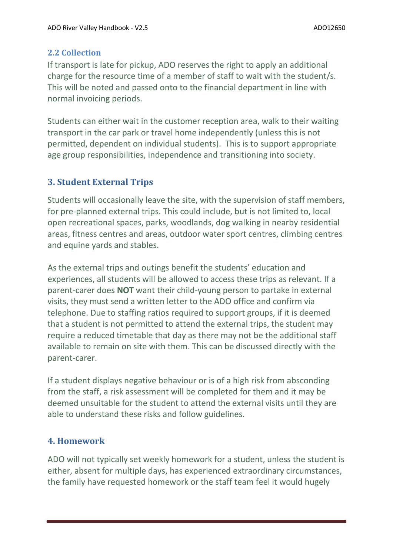## **2.2 Collection**

If transport is late for pickup, ADO reserves the right to apply an additional charge for the resource time of a member of staff to wait with the student/s. This will be noted and passed onto to the financial department in line with normal invoicing periods.

Students can either wait in the customer reception area, walk to their waiting transport in the car park or travel home independently (unless this is not permitted, dependent on individual students). This is to support appropriate age group responsibilities, independence and transitioning into society.

# **3. Student External Trips**

Students will occasionally leave the site, with the supervision of staff members, for pre-planned external trips. This could include, but is not limited to, local open recreational spaces, parks, woodlands, dog walking in nearby residential areas, fitness centres and areas, outdoor water sport centres, climbing centres and equine yards and stables.

As the external trips and outings benefit the students' education and experiences, all students will be allowed to access these trips as relevant. If a parent-carer does **NOT** want their child-young person to partake in external visits, they must send a written letter to the ADO office and confirm via telephone. Due to staffing ratios required to support groups, if it is deemed that a student is not permitted to attend the external trips, the student may require a reduced timetable that day as there may not be the additional staff available to remain on site with them. This can be discussed directly with the parent-carer.

If a student displays negative behaviour or is of a high risk from absconding from the staff, a risk assessment will be completed for them and it may be deemed unsuitable for the student to attend the external visits until they are able to understand these risks and follow guidelines.

# **4. Homework**

ADO will not typically set weekly homework for a student, unless the student is either, absent for multiple days, has experienced extraordinary circumstances, the family have requested homework or the staff team feel it would hugely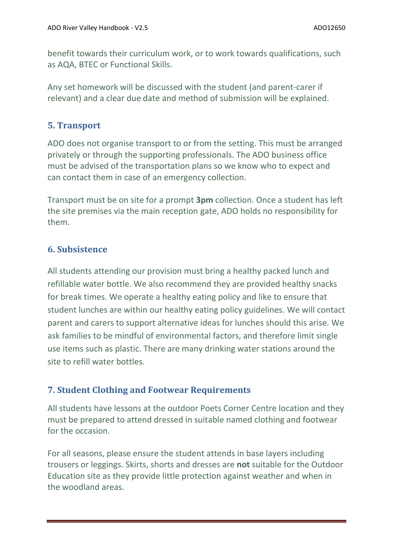benefit towards their curriculum work, or to work towards qualifications, such as AQA, BTEC or Functional Skills.

Any set homework will be discussed with the student (and parent-carer if relevant) and a clear due date and method of submission will be explained.

## **5. Transport**

ADO does not organise transport to or from the setting. This must be arranged privately or through the supporting professionals. The ADO business office must be advised of the transportation plans so we know who to expect and can contact them in case of an emergency collection.

Transport must be on site for a prompt **3pm** collection. Once a student has left the site premises via the main reception gate, ADO holds no responsibility for them.

## **6. Subsistence**

All students attending our provision must bring a healthy packed lunch and refillable water bottle. We also recommend they are provided healthy snacks for break times. We operate a healthy eating policy and like to ensure that student lunches are within our healthy eating policy guidelines. We will contact parent and carers to support alternative ideas for lunches should this arise. We ask families to be mindful of environmental factors, and therefore limit single use items such as plastic. There are many drinking water stations around the site to refill water bottles.

## **7. Student Clothing and Footwear Requirements**

All students have lessons at the outdoor Poets Corner Centre location and they must be prepared to attend dressed in suitable named clothing and footwear for the occasion.

For all seasons, please ensure the student attends in base layers including trousers or leggings. Skirts, shorts and dresses are **not** suitable for the Outdoor Education site as they provide little protection against weather and when in the woodland areas.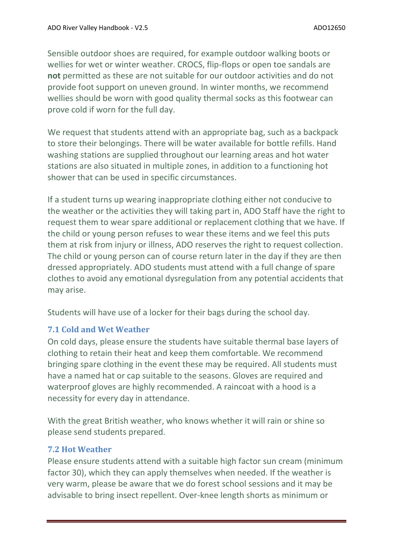Sensible outdoor shoes are required, for example outdoor walking boots or wellies for wet or winter weather. CROCS, flip-flops or open toe sandals are **not** permitted as these are not suitable for our outdoor activities and do not provide foot support on uneven ground. In winter months, we recommend wellies should be worn with good quality thermal socks as this footwear can prove cold if worn for the full day.

We request that students attend with an appropriate bag, such as a backpack to store their belongings. There will be water available for bottle refills. Hand washing stations are supplied throughout our learning areas and hot water stations are also situated in multiple zones, in addition to a functioning hot shower that can be used in specific circumstances.

If a student turns up wearing inappropriate clothing either not conducive to the weather or the activities they will taking part in, ADO Staff have the right to request them to wear spare additional or replacement clothing that we have. If the child or young person refuses to wear these items and we feel this puts them at risk from injury or illness, ADO reserves the right to request collection. The child or young person can of course return later in the day if they are then dressed appropriately. ADO students must attend with a full change of spare clothes to avoid any emotional dysregulation from any potential accidents that may arise.

Students will have use of a locker for their bags during the school day.

#### **7.1 Cold and Wet Weather**

On cold days, please ensure the students have suitable thermal base layers of clothing to retain their heat and keep them comfortable. We recommend bringing spare clothing in the event these may be required. All students must have a named hat or cap suitable to the seasons. Gloves are required and waterproof gloves are highly recommended. A raincoat with a hood is a necessity for every day in attendance.

With the great British weather, who knows whether it will rain or shine so please send students prepared.

#### **7.2 Hot Weather**

Please ensure students attend with a suitable high factor sun cream (minimum factor 30), which they can apply themselves when needed. If the weather is very warm, please be aware that we do forest school sessions and it may be advisable to bring insect repellent. Over-knee length shorts as minimum or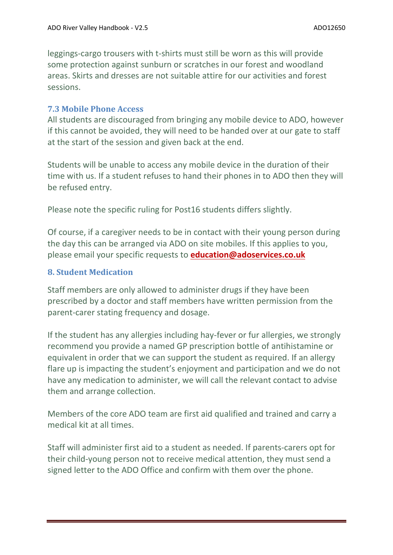leggings-cargo trousers with t-shirts must still be worn as this will provide some protection against sunburn or scratches in our forest and woodland areas. Skirts and dresses are not suitable attire for our activities and forest sessions.

#### **7.3 Mobile Phone Access**

All students are discouraged from bringing any mobile device to ADO, however if this cannot be avoided, they will need to be handed over at our gate to staff at the start of the session and given back at the end.

Students will be unable to access any mobile device in the duration of their time with us. If a student refuses to hand their phones in to ADO then they will be refused entry.

Please note the specific ruling for Post16 students differs slightly.

Of course, if a caregiver needs to be in contact with their young person during the day this can be arranged via ADO on site mobiles. If this applies to you, please email your specific requests to **[education@adoservices.co.uk](mailto:education@adoservices.co.uk)**

#### **8. Student Medication**

Staff members are only allowed to administer drugs if they have been prescribed by a doctor and staff members have written permission from the parent-carer stating frequency and dosage.

If the student has any allergies including hay-fever or fur allergies, we strongly recommend you provide a named GP prescription bottle of antihistamine or equivalent in order that we can support the student as required. If an allergy flare up is impacting the student's enjoyment and participation and we do not have any medication to administer, we will call the relevant contact to advise them and arrange collection.

Members of the core ADO team are first aid qualified and trained and carry a medical kit at all times.

Staff will administer first aid to a student as needed. If parents-carers opt for their child-young person not to receive medical attention, they must send a signed letter to the ADO Office and confirm with them over the phone.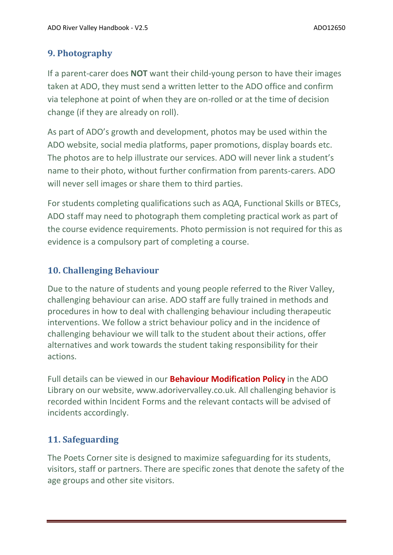# **9. Photography**

If a parent-carer does **NOT** want their child-young person to have their images taken at ADO, they must send a written letter to the ADO office and confirm via telephone at point of when they are on-rolled or at the time of decision change (if they are already on roll).

As part of ADO's growth and development, photos may be used within the ADO website, social media platforms, paper promotions, display boards etc. The photos are to help illustrate our services. ADO will never link a student's name to their photo, without further confirmation from parents-carers. ADO will never sell images or share them to third parties.

For students completing qualifications such as AQA, Functional Skills or BTECs, ADO staff may need to photograph them completing practical work as part of the course evidence requirements. Photo permission is not required for this as evidence is a compulsory part of completing a course.

## **10. Challenging Behaviour**

Due to the nature of students and young people referred to the River Valley, challenging behaviour can arise. ADO staff are fully trained in methods and procedures in how to deal with challenging behaviour including therapeutic interventions. We follow a strict behaviour policy and in the incidence of challenging behaviour we will talk to the student about their actions, offer alternatives and work towards the student taking responsibility for their actions.

Full details can be viewed in our **Behaviour Modification Policy** in the ADO Library on our website, www.adorivervalley.co.uk. All challenging behavior is recorded within Incident Forms and the relevant contacts will be advised of incidents accordingly.

# **11. Safeguarding**

The Poets Corner site is designed to maximize safeguarding for its students, visitors, staff or partners. There are specific zones that denote the safety of the age groups and other site visitors.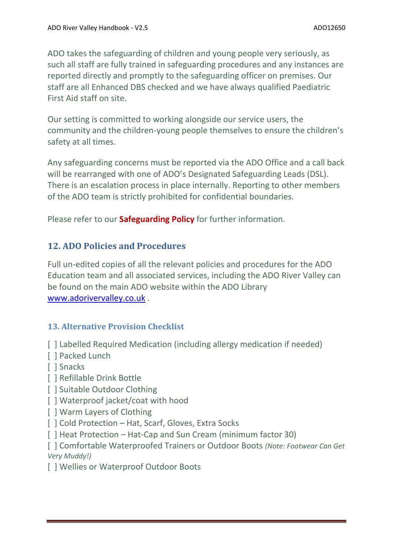ADO takes the safeguarding of children and young people very seriously, as such all staff are fully trained in safeguarding procedures and any instances are reported directly and promptly to the safeguarding officer on premises. Our staff are all Enhanced DBS checked and we have always qualified Paediatric First Aid staff on site.

Our setting is committed to working alongside our service users, the community and the children-young people themselves to ensure the children's safety at all times.

Any safeguarding concerns must be reported via the ADO Office and a call back will be rearranged with one of ADO's Designated Safeguarding Leads (DSL). There is an escalation process in place internally. Reporting to other members of the ADO team is strictly prohibited for confidential boundaries.

Please refer to our **Safeguarding Policy** for further information.

## **12. ADO Policies and Procedures**

Full un-edited copies of all the relevant policies and procedures for the ADO Education team and all associated services, including the ADO River Valley can be found on the main ADO website within the ADO Library [www.adorivervalley.co.uk](http://www.adorivervalley.co.uk/) .

## **13. Alternative Provision Checklist**

- [ ] Labelled Required Medication (including allergy medication if needed)
- [ ] Packed Lunch
- [ ] Snacks
- [ ] Refillable Drink Bottle
- [ ] Suitable Outdoor Clothing
- [] Waterproof jacket/coat with hood
- [ ] Warm Layers of Clothing
- [  $|$  Cold Protection Hat, Scarf, Gloves, Extra Socks
- [ ] Heat Protection Hat-Cap and Sun Cream (minimum factor 30)

[ ] Comfortable Waterproofed Trainers or Outdoor Boots *(Note: Footwear Can Get Very Muddy!)*

[ ] Wellies or Waterproof Outdoor Boots